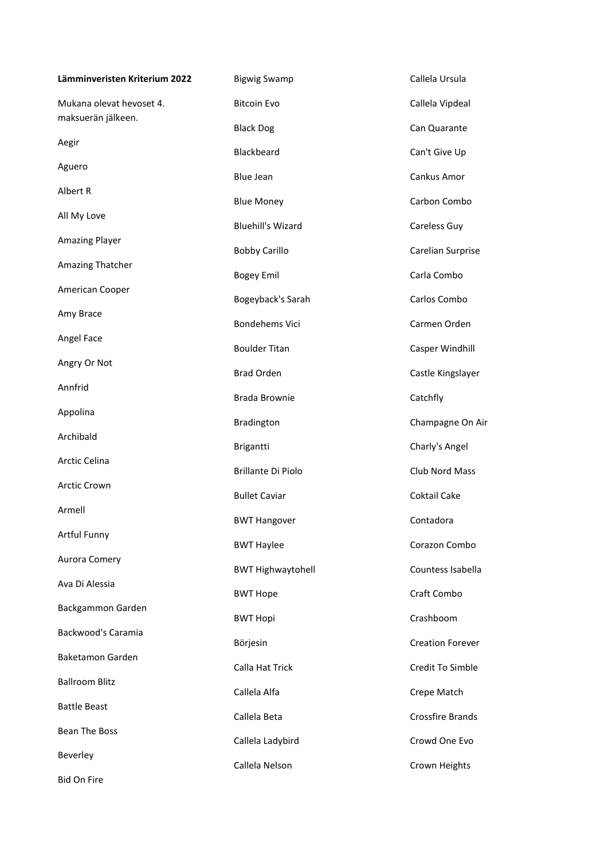| Lämminveristen Kriterium 2022                  | <b>Bigwig Swamp</b>       | Callela Ursula          |
|------------------------------------------------|---------------------------|-------------------------|
| Mukana olevat hevoset 4.<br>maksuerän jälkeen. | <b>Bitcoin Evo</b>        | Callela Vipdeal         |
|                                                | <b>Black Dog</b>          | Can Quarante            |
| Aegir                                          | Blackbeard                | Can't Give Up           |
| Aguero                                         | <b>Blue Jean</b>          | Cankus Amor             |
| Albert R                                       | <b>Blue Money</b>         | Carbon Combo            |
| All My Love                                    | <b>Bluehill's Wizard</b>  | Careless Guy            |
| <b>Amazing Player</b>                          | <b>Bobby Carillo</b>      | Carelian Surprise       |
| Amazing Thatcher                               | <b>Bogey Emil</b>         | Carla Combo             |
| American Cooper                                | Bogeyback's Sarah         | Carlos Combo            |
| Amy Brace                                      | <b>Bondehems Vici</b>     | Carmen Orden            |
| Angel Face                                     | <b>Boulder Titan</b>      | Casper Windhill         |
| Angry Or Not                                   | <b>Brad Orden</b>         | Castle Kingslayer       |
| Annfrid                                        | <b>Brada Brownie</b>      | Catchfly                |
| Appolina                                       | Bradington                | Champagne On Air        |
| Archibald                                      | Brigantti                 | Charly's Angel          |
| Arctic Celina                                  | <b>Brillante Di Piolo</b> | Club Nord Mass          |
| Arctic Crown                                   |                           |                         |
| Armell                                         | <b>Bullet Caviar</b>      | <b>Coktail Cake</b>     |
| Artful Funny                                   | <b>BWT Hangover</b>       | Contadora               |
| Aurora Comery                                  | <b>BWT Haylee</b>         | Corazon Combo           |
| Ava Di Alessia                                 | <b>BWT Highwaytohell</b>  | Countess Isabella       |
|                                                | <b>BWT Hope</b>           | Craft Combo             |
| Backgammon Garden                              | <b>BWT Hopi</b>           | Crashboom               |
| Backwood's Caramia                             | Börjesin                  | <b>Creation Forever</b> |
| Baketamon Garden                               | Calla Hat Trick           | Credit To Simble        |
| <b>Ballroom Blitz</b>                          | Callela Alfa              | Crepe Match             |
| <b>Battle Beast</b>                            | Callela Beta              | <b>Crossfire Brands</b> |
| <b>Bean The Boss</b>                           | Callela Ladybird          | Crowd One Evo           |
| Beverley                                       | Callela Nelson            | Crown Heights           |
| Bid On Fire                                    |                           |                         |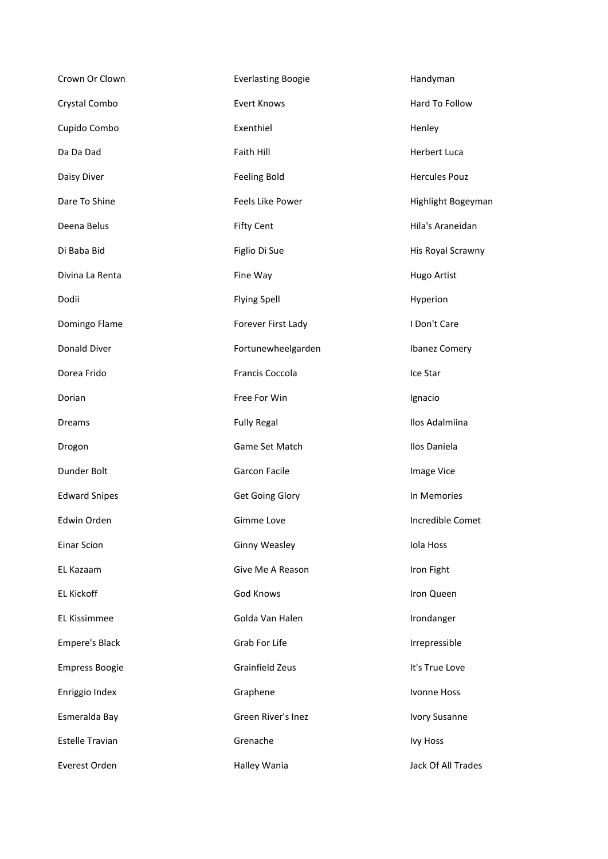| Crown Or Clown         | <b>Everlasting Boogie</b> | Handyman             |
|------------------------|---------------------------|----------------------|
| Crystal Combo          | <b>Evert Knows</b>        | Hard To Follow       |
| Cupido Combo           | Exenthiel                 | Henley               |
| Da Da Dad              | Faith Hill                | Herbert Luca         |
| Daisy Diver            | <b>Feeling Bold</b>       | <b>Hercules Pouz</b> |
| Dare To Shine          | Feels Like Power          | Highlight Bogeyman   |
| Deena Belus            | <b>Fifty Cent</b>         | Hila's Araneidan     |
| Di Baba Bid            | Figlio Di Sue             | His Royal Scrawny    |
| Divina La Renta        | Fine Way                  | Hugo Artist          |
| Dodii                  | <b>Flying Spell</b>       | Hyperion             |
| Domingo Flame          | Forever First Lady        | I Don't Care         |
| Donald Diver           | Fortunewheelgarden        | <b>Ibanez Comery</b> |
| Dorea Frido            | Francis Coccola           | Ice Star             |
| Dorian                 | Free For Win              | Ignacio              |
| <b>Dreams</b>          | <b>Fully Regal</b>        | Ilos Adalmiina       |
| Drogon                 | Game Set Match            | Ilos Daniela         |
| Dunder Bolt            | Garcon Facile             | Image Vice           |
| <b>Edward Snipes</b>   | <b>Get Going Glory</b>    | In Memories          |
| Edwin Orden            | Gimme Love                | Incredible Comet     |
| <b>Einar Scion</b>     | <b>Ginny Weasley</b>      | Iola Hoss            |
| EL Kazaam              | Give Me A Reason          | Iron Fight           |
| EL Kickoff             | God Knows                 | Iron Queen           |
| EL Kissimmee           | Golda Van Halen           | Irondanger           |
| <b>Empere's Black</b>  | Grab For Life             | Irrepressible        |
| <b>Empress Boogie</b>  | Grainfield Zeus           | It's True Love       |
| Enriggio Index         | Graphene                  | Ivonne Hoss          |
| Esmeralda Bay          | Green River's Inez        | <b>Ivory Susanne</b> |
| <b>Estelle Travian</b> | Grenache                  | <b>Ivy Hoss</b>      |
| Everest Orden          | Halley Wania              | Jack Of All Trades   |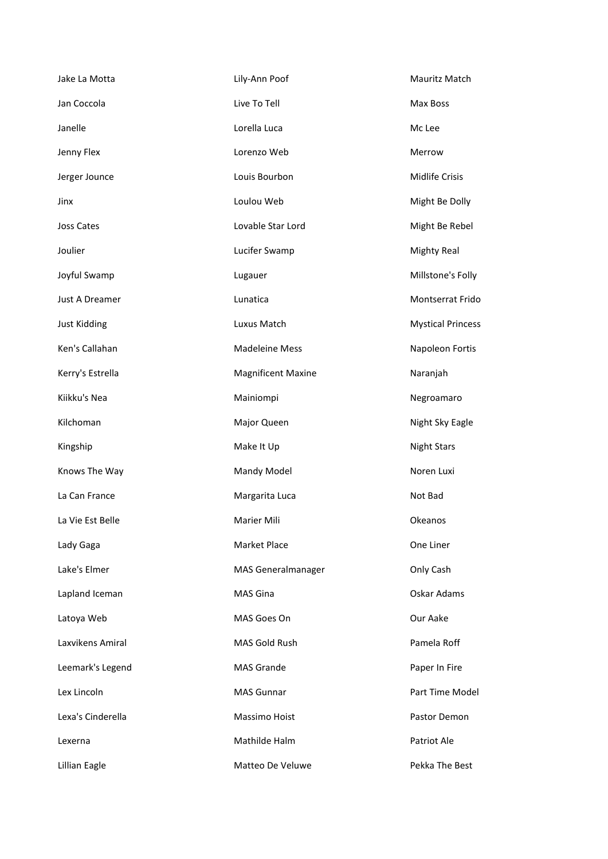| Jake La Motta       | Lily-Ann Poof             | Mauritz Match            |
|---------------------|---------------------------|--------------------------|
| Jan Coccola         | Live To Tell              | Max Boss                 |
| Janelle             | Lorella Luca              | Mc Lee                   |
| Jenny Flex          | Lorenzo Web               | Merrow                   |
| Jerger Jounce       | Louis Bourbon             | Midlife Crisis           |
| Jinx                | Loulou Web                | Might Be Dolly           |
| Joss Cates          | Lovable Star Lord         | Might Be Rebel           |
| Joulier             | Lucifer Swamp             | <b>Mighty Real</b>       |
| Joyful Swamp        | Lugauer                   | Millstone's Folly        |
| Just A Dreamer      | Lunatica                  | Montserrat Frido         |
| <b>Just Kidding</b> | Luxus Match               | <b>Mystical Princess</b> |
| Ken's Callahan      | <b>Madeleine Mess</b>     | Napoleon Fortis          |
| Kerry's Estrella    | <b>Magnificent Maxine</b> | Naranjah                 |
| Kiikku's Nea        | Mainiompi                 | Negroamaro               |
| Kilchoman           | Major Queen               | Night Sky Eagle          |
| Kingship            | Make It Up                | <b>Night Stars</b>       |
| Knows The Way       | Mandy Model               | Noren Luxi               |
| La Can France       | Margarita Luca            | Not Bad                  |
| La Vie Est Belle    | Marier Mili               | Okeanos                  |
| Lady Gaga           | Market Place              | One Liner                |
| Lake's Elmer        | <b>MAS Generalmanager</b> | Only Cash                |
| Lapland Iceman      | MAS Gina                  | Oskar Adams              |
| Latoya Web          | MAS Goes On               | Our Aake                 |
| Laxvikens Amiral    | MAS Gold Rush             | Pamela Roff              |
| Leemark's Legend    | <b>MAS Grande</b>         | Paper In Fire            |
| Lex Lincoln         | <b>MAS Gunnar</b>         | Part Time Model          |
| Lexa's Cinderella   | Massimo Hoist             | Pastor Demon             |
| Lexerna             | Mathilde Halm             | Patriot Ale              |
| Lillian Eagle       | Matteo De Veluwe          | Pekka The Best           |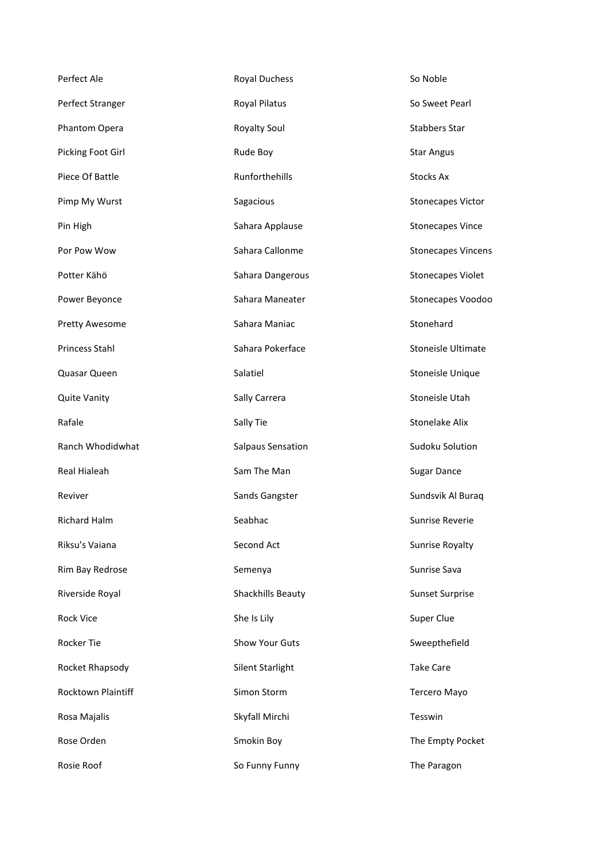| Perfect Ale               | Royal Duchess         | So Noble                  |
|---------------------------|-----------------------|---------------------------|
| Perfect Stranger          | Royal Pilatus         | So Sweet Pearl            |
| Phantom Opera             | Royalty Soul          | <b>Stabbers Star</b>      |
| Picking Foot Girl         | Rude Boy              | <b>Star Angus</b>         |
| Piece Of Battle           | Runforthehills        | <b>Stocks Ax</b>          |
| Pimp My Wurst             | Sagacious             | <b>Stonecapes Victor</b>  |
| Pin High                  | Sahara Applause       | <b>Stonecapes Vince</b>   |
| Por Pow Wow               | Sahara Callonme       | <b>Stonecapes Vincens</b> |
| Potter Kähö               | Sahara Dangerous      | <b>Stonecapes Violet</b>  |
| Power Beyonce             | Sahara Maneater       | Stonecapes Voodoo         |
| <b>Pretty Awesome</b>     | Sahara Maniac         | Stonehard                 |
| Princess Stahl            | Sahara Pokerface      | <b>Stoneisle Ultimate</b> |
| Quasar Queen              | Salatiel              | Stoneisle Unique          |
| <b>Quite Vanity</b>       | Sally Carrera         | Stoneisle Utah            |
| Rafale                    | Sally Tie             | <b>Stonelake Alix</b>     |
| Ranch Whodidwhat          | Salpaus Sensation     | Sudoku Solution           |
| <b>Real Hialeah</b>       | Sam The Man           | <b>Sugar Dance</b>        |
| Reviver                   | Sands Gangster        | Sundsvik Al Buraq         |
| <b>Richard Halm</b>       | Seabhac               | Sunrise Reverie           |
| Riksu's Vaiana            | Second Act            | <b>Sunrise Royalty</b>    |
| Rim Bay Redrose           | Semenya               | Sunrise Sava              |
| Riverside Royal           | Shackhills Beauty     | <b>Sunset Surprise</b>    |
| <b>Rock Vice</b>          | She Is Lily           | Super Clue                |
| Rocker Tie                | <b>Show Your Guts</b> | Sweepthefield             |
| Rocket Rhapsody           | Silent Starlight      | <b>Take Care</b>          |
| <b>Rocktown Plaintiff</b> | Simon Storm           | Tercero Mayo              |
| Rosa Majalis              | Skyfall Mirchi        | Tesswin                   |
| Rose Orden                | Smokin Boy            | The Empty Pocket          |
| Rosie Roof                | So Funny Funny        | The Paragon               |